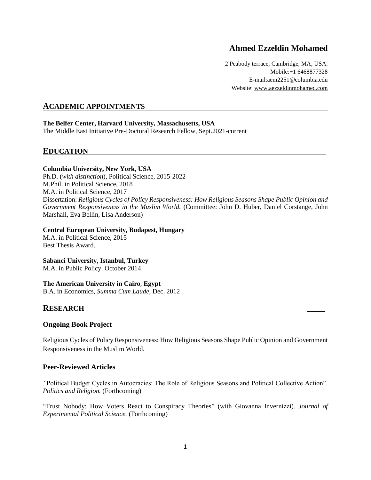# **Ahmed Ezzeldin Mohamed**

2 Peabody terrace, Cambridge, MA, USA. Mobile:+1 6468877328 E-mail:aem2251@columbia.edu Website:<www.aezzeldinmohamed.com>

## **ACADEMIC APPOINTMENTS**

#### **The Belfer Center, Harvard University, Massachusetts, USA**

The Middle East Initiative Pre-Doctoral Research Fellow, Sept.2021-current

## **EDUCATION**

#### **Columbia University, New York, USA**

Ph.D. (*with distinction*), Political Science, 2015-2022 M.Phil. in Political Science, 2018 M.A. in Political Science, 2017 Dissertation: *Religious Cycles of Policy Responsiveness: How Religious Seasons Shape Public Opinion and Government Responsiveness in the Muslim World.* (Committee: John D. Huber, Daniel Corstange, John Marshall, Eva Bellin, Lisa Anderson)

#### **Central European University, Budapest, Hungary**

M.A. in Political Science, 2015 Best Thesis Award.

#### **Sabanci University, Istanbul, Turkey**

M.A. in Public Policy. October 2014

#### **The American University in Cairo**, **Egypt**

B.A. in Economics, *Summa Cum Laude*, Dec. 2012

### **RESEARCH \_\_\_\_\_**

#### **Ongoing Book Project**

Religious Cycles of Policy Responsiveness: How Religious Seasons Shape Public Opinion and Government Responsiveness in the Muslim World.

#### **Peer-Reviewed Articles**

*"*Political Budget Cycles in Autocracies: The Role of Religious Seasons and Political Collective Action". *Politics and Religion.* (Forthcoming)

"Trust Nobody: How Voters React to Conspiracy Theories" (with Giovanna Invernizzi). *Journal of Experimental Political Science.* (Forthcoming)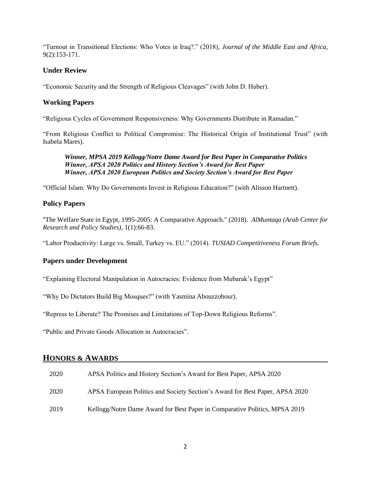"Turnout in Transitional Elections: Who Votes in Iraq?." (2018), *Journal of the Middle East and Africa*, 9(2):153-171.

### **Under Review**

"Economic Security and the Strength of Religious Cleavages" (with John D. Huber).

### **Working Papers**

"Religious Cycles of Government Responsiveness: Why Governments Distribute in Ramadan."

"From Religious Conflict to Political Compromise: The Historical Origin of Institutional Trust" (with Isabela Mares).

#### *Winner, MPSA 2019 Kellogg/Notre Dame Award for Best Paper in Comparative Politics Winner, APSA 2020 Politics and History Section's Award for Best Paper Winner, APSA 2020 European Politics and Society Section's Award for Best Paper*

"Official Islam: Why Do Governments Invest in Religious Education?" (with Alisson Hartnett).

### **Policy Papers**

"The Welfare State in Egypt, 1995-2005: A Comparative Approach." (2018). *AlMuntaqa (Arab Center for Research and Policy Studies),* 1(1):66-83.

"Labor Productivity: Large vs. Small, Turkey vs. EU." (2014). *TUSIAD Competitiveness Forum Briefs.*

### **Papers under Development**

"Explaining Electoral Manipulation in Autocracies: Evidence from Mubarak's Egypt"

"Why Do Dictators Build Big Mosques?" (with Yasmina Abouzzohour).

"Repress to Liberate? The Promises and Limitations of Top-Down Religious Reforms".

"Public and Private Goods Allocation in Autocracies".

## **HONORS & AWARDS**

| 2020 | APSA Politics and History Section's Award for Best Paper, APSA 2020          |
|------|------------------------------------------------------------------------------|
| 2020 | APSA European Politics and Society Section's Award for Best Paper, APSA 2020 |
| 2019 | Kellogg/Notre Dame Award for Best Paper in Comparative Politics, MPSA 2019   |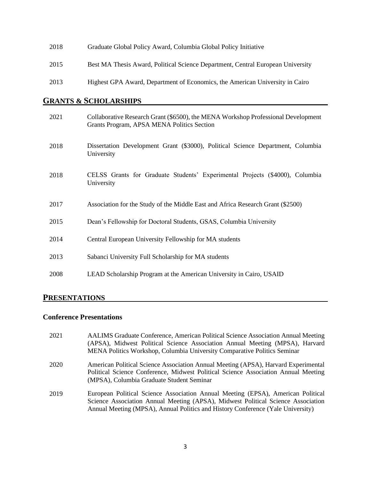| 2018 | Graduate Global Policy Award, Columbia Global Policy Initiative                 |
|------|---------------------------------------------------------------------------------|
| 2015 | Best MA Thesis Award, Political Science Department, Central European University |
| 2013 | Highest GPA Award, Department of Economics, the American University in Cairo    |

### **GRANTS & SCHOLARSHIPS**

| 2021 | Collaborative Research Grant (\$6500), the MENA Workshop Professional Development<br>Grants Program, APSA MENA Politics Section |
|------|---------------------------------------------------------------------------------------------------------------------------------|
| 2018 | Dissertation Development Grant (\$3000), Political Science Department, Columbia<br>University                                   |
| 2018 | CELSS Grants for Graduate Students' Experimental Projects (\$4000), Columbia<br>University                                      |
| 2017 | Association for the Study of the Middle East and Africa Research Grant (\$2500)                                                 |
| 2015 | Dean's Fellowship for Doctoral Students, GSAS, Columbia University                                                              |
| 2014 | Central European University Fellowship for MA students                                                                          |
| 2013 | Sabanci University Full Scholarship for MA students                                                                             |
| 2008 | LEAD Scholarship Program at the American University in Cairo, USAID                                                             |

## **PRESENTATIONS**

### **Conference Presentations**

2021 AALIMS Graduate Conference, American Political Science Association Annual Meeting (APSA), Midwest Political Science Association Annual Meeting (MPSA), Harvard MENA Politics Workshop, Columbia University Comparative Politics Seminar 2020 American Political Science Association Annual Meeting (APSA), Harvard Experimental Political Science Conference, Midwest Political Science Association Annual Meeting (MPSA), Columbia Graduate Student Seminar 2019 European Political Science Association Annual Meeting (EPSA), American Political Science Association Annual Meeting (APSA), Midwest Political Science Association Annual Meeting (MPSA), Annual Politics and History Conference (Yale University)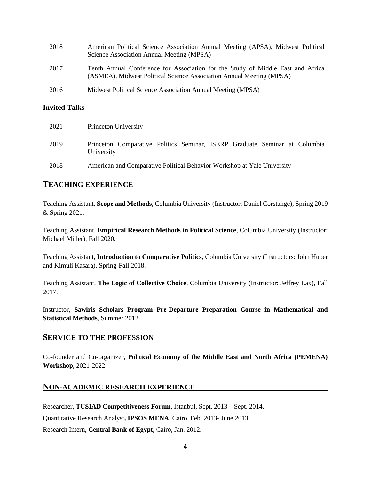| 2018 | American Political Science Association Annual Meeting (APSA), Midwest Political<br>Science Association Annual Meeting (MPSA)                            |
|------|---------------------------------------------------------------------------------------------------------------------------------------------------------|
| 2017 | Tenth Annual Conference for Association for the Study of Middle East and Africa<br>(ASMEA), Midwest Political Science Association Annual Meeting (MPSA) |
| 2016 | Midwest Political Science Association Annual Meeting (MPSA)                                                                                             |

### **Invited Talks**

| 2021 | Princeton University                                                                     |
|------|------------------------------------------------------------------------------------------|
| 2019 | Princeton Comparative Politics Seminar, ISERP Graduate Seminar at Columbia<br>University |
| 2018 | American and Comparative Political Behavior Workshop at Yale University                  |

## **TEACHING EXPERIENCE**

Teaching Assistant, **Scope and Methods**, Columbia University (Instructor: Daniel Corstange), Spring 2019 & Spring 2021.

Teaching Assistant, **Empirical Research Methods in Political Science**, Columbia University (Instructor: Michael Miller), Fall 2020.

Teaching Assistant, **Introduction to Comparative Politics**, Columbia University (Instructors: John Huber and Kimuli Kasara), Spring-Fall 2018.

Teaching Assistant, **The Logic of Collective Choice**, Columbia University (Instructor: Jeffrey Lax), Fall 2017.

Instructor, **Sawiris Scholars Program Pre-Departure Preparation Course in Mathematical and Statistical Methods**, Summer 2012.

### **SERVICE TO THE PROFESSION**

Co-founder and Co-organizer, **Political Economy of the Middle East and North Africa (PEMENA) Workshop**, 2021-2022

## **NON-ACADEMIC RESEARCH EXPERIENCE**

Researcher**, TUSIAD Competitiveness Forum**, Istanbul, Sept. 2013 – Sept. 2014.

Quantitative Research Analyst**, IPSOS MENA**, Cairo, Feb. 2013- June 2013.

Research Intern, **Central Bank of Egypt**, Cairo, Jan. 2012.